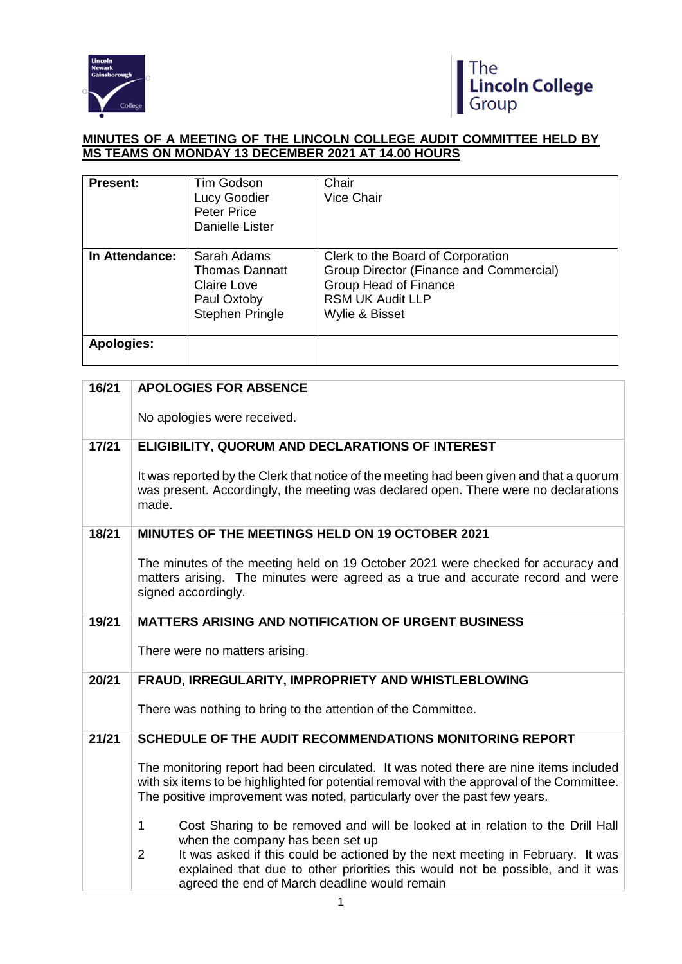



## **MINUTES OF A MEETING OF THE LINCOLN COLLEGE AUDIT COMMITTEE HELD BY MS TEAMS ON MONDAY 13 DECEMBER 2021 AT 14.00 HOURS**

| <b>Present:</b>   | Tim Godson<br>Lucy Goodier<br><b>Peter Price</b><br>Danielle Lister                                 | Chair<br><b>Vice Chair</b>                                                                                                                                |
|-------------------|-----------------------------------------------------------------------------------------------------|-----------------------------------------------------------------------------------------------------------------------------------------------------------|
| In Attendance:    | Sarah Adams<br><b>Thomas Dannatt</b><br><b>Claire Love</b><br>Paul Oxtoby<br><b>Stephen Pringle</b> | Clerk to the Board of Corporation<br>Group Director (Finance and Commercial)<br><b>Group Head of Finance</b><br><b>RSM UK Audit LLP</b><br>Wylie & Bisset |
| <b>Apologies:</b> |                                                                                                     |                                                                                                                                                           |

| 16/21 | <b>APOLOGIES FOR ABSENCE</b>                                                                                                                                                                                                                                           |
|-------|------------------------------------------------------------------------------------------------------------------------------------------------------------------------------------------------------------------------------------------------------------------------|
|       | No apologies were received.                                                                                                                                                                                                                                            |
| 17/21 | ELIGIBILITY, QUORUM AND DECLARATIONS OF INTEREST                                                                                                                                                                                                                       |
|       | It was reported by the Clerk that notice of the meeting had been given and that a quorum<br>was present. Accordingly, the meeting was declared open. There were no declarations<br>made.                                                                               |
| 18/21 | MINUTES OF THE MEETINGS HELD ON 19 OCTOBER 2021                                                                                                                                                                                                                        |
|       | The minutes of the meeting held on 19 October 2021 were checked for accuracy and<br>matters arising. The minutes were agreed as a true and accurate record and were<br>signed accordingly.                                                                             |
| 19/21 | <b>MATTERS ARISING AND NOTIFICATION OF URGENT BUSINESS</b>                                                                                                                                                                                                             |
|       | There were no matters arising.                                                                                                                                                                                                                                         |
| 20/21 | FRAUD, IRREGULARITY, IMPROPRIETY AND WHISTLEBLOWING                                                                                                                                                                                                                    |
|       | There was nothing to bring to the attention of the Committee.                                                                                                                                                                                                          |
| 21/21 | SCHEDULE OF THE AUDIT RECOMMENDATIONS MONITORING REPORT                                                                                                                                                                                                                |
|       | The monitoring report had been circulated. It was noted there are nine items included<br>with six items to be highlighted for potential removal with the approval of the Committee.<br>The positive improvement was noted, particularly over the past few years.       |
|       | Cost Sharing to be removed and will be looked at in relation to the Drill Hall<br>$\mathbf{1}$                                                                                                                                                                         |
|       | when the company has been set up<br>It was asked if this could be actioned by the next meeting in February. It was<br>$\overline{2}$<br>explained that due to other priorities this would not be possible, and it was<br>agreed the end of March deadline would remain |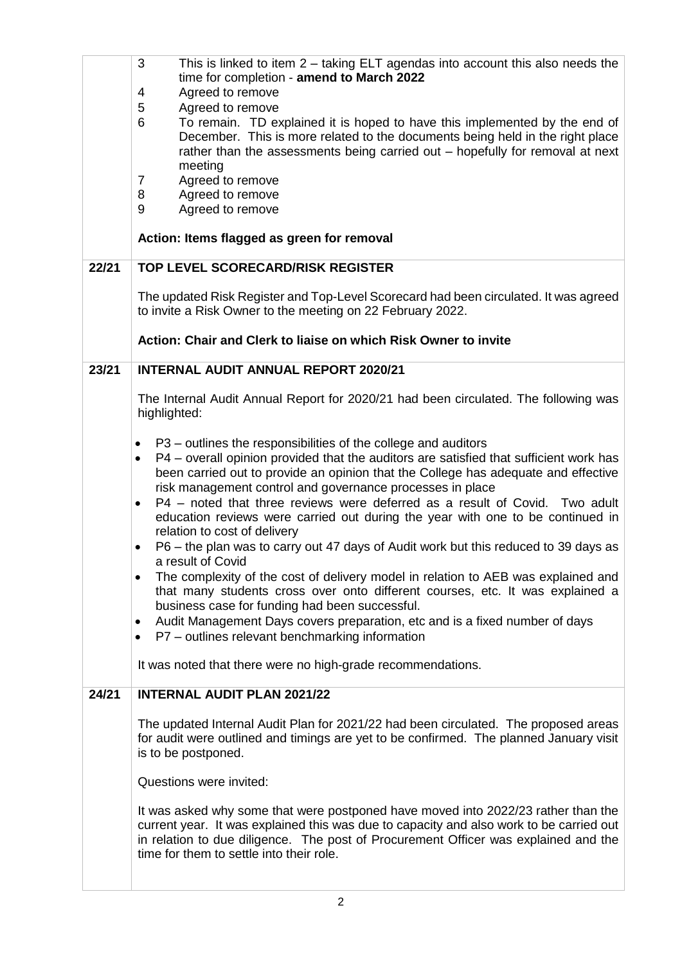|       | 3<br>This is linked to item 2 – taking ELT agendas into account this also needs the<br>time for completion - amend to March 2022                                                                                                                                                                                |
|-------|-----------------------------------------------------------------------------------------------------------------------------------------------------------------------------------------------------------------------------------------------------------------------------------------------------------------|
|       | 4<br>Agreed to remove                                                                                                                                                                                                                                                                                           |
|       | 5<br>Agreed to remove<br>6<br>To remain. TD explained it is hoped to have this implemented by the end of<br>December. This is more related to the documents being held in the right place<br>rather than the assessments being carried out - hopefully for removal at next                                      |
|       | meeting                                                                                                                                                                                                                                                                                                         |
|       | $\overline{7}$<br>Agreed to remove                                                                                                                                                                                                                                                                              |
|       | 8<br>Agreed to remove<br>9<br>Agreed to remove                                                                                                                                                                                                                                                                  |
|       |                                                                                                                                                                                                                                                                                                                 |
|       | Action: Items flagged as green for removal                                                                                                                                                                                                                                                                      |
| 22/21 | <b>TOP LEVEL SCORECARD/RISK REGISTER</b>                                                                                                                                                                                                                                                                        |
|       | The updated Risk Register and Top-Level Scorecard had been circulated. It was agreed<br>to invite a Risk Owner to the meeting on 22 February 2022.                                                                                                                                                              |
|       | Action: Chair and Clerk to liaise on which Risk Owner to invite                                                                                                                                                                                                                                                 |
| 23/21 | <b>INTERNAL AUDIT ANNUAL REPORT 2020/21</b>                                                                                                                                                                                                                                                                     |
|       | The Internal Audit Annual Report for 2020/21 had been circulated. The following was<br>highlighted:                                                                                                                                                                                                             |
|       | P3 - outlines the responsibilities of the college and auditors<br>$\bullet$                                                                                                                                                                                                                                     |
|       | P4 – overall opinion provided that the auditors are satisfied that sufficient work has<br>$\bullet$                                                                                                                                                                                                             |
|       | been carried out to provide an opinion that the College has adequate and effective<br>risk management control and governance processes in place                                                                                                                                                                 |
|       | P4 - noted that three reviews were deferred as a result of Covid. Two adult<br>$\bullet$                                                                                                                                                                                                                        |
|       | education reviews were carried out during the year with one to be continued in<br>relation to cost of delivery                                                                                                                                                                                                  |
|       | P6 – the plan was to carry out 47 days of Audit work but this reduced to 39 days as                                                                                                                                                                                                                             |
|       | a result of Covid<br>The complexity of the cost of delivery model in relation to AEB was explained and<br>$\bullet$                                                                                                                                                                                             |
|       | that many students cross over onto different courses, etc. It was explained a<br>business case for funding had been successful.                                                                                                                                                                                 |
|       | Audit Management Days covers preparation, etc and is a fixed number of days                                                                                                                                                                                                                                     |
|       | P7 - outlines relevant benchmarking information<br>٠                                                                                                                                                                                                                                                            |
|       | It was noted that there were no high-grade recommendations.                                                                                                                                                                                                                                                     |
| 24/21 | <b>INTERNAL AUDIT PLAN 2021/22</b>                                                                                                                                                                                                                                                                              |
|       | The updated Internal Audit Plan for 2021/22 had been circulated. The proposed areas<br>for audit were outlined and timings are yet to be confirmed. The planned January visit<br>is to be postponed.                                                                                                            |
|       | Questions were invited:                                                                                                                                                                                                                                                                                         |
|       | It was asked why some that were postponed have moved into 2022/23 rather than the<br>current year. It was explained this was due to capacity and also work to be carried out<br>in relation to due diligence. The post of Procurement Officer was explained and the<br>time for them to settle into their role. |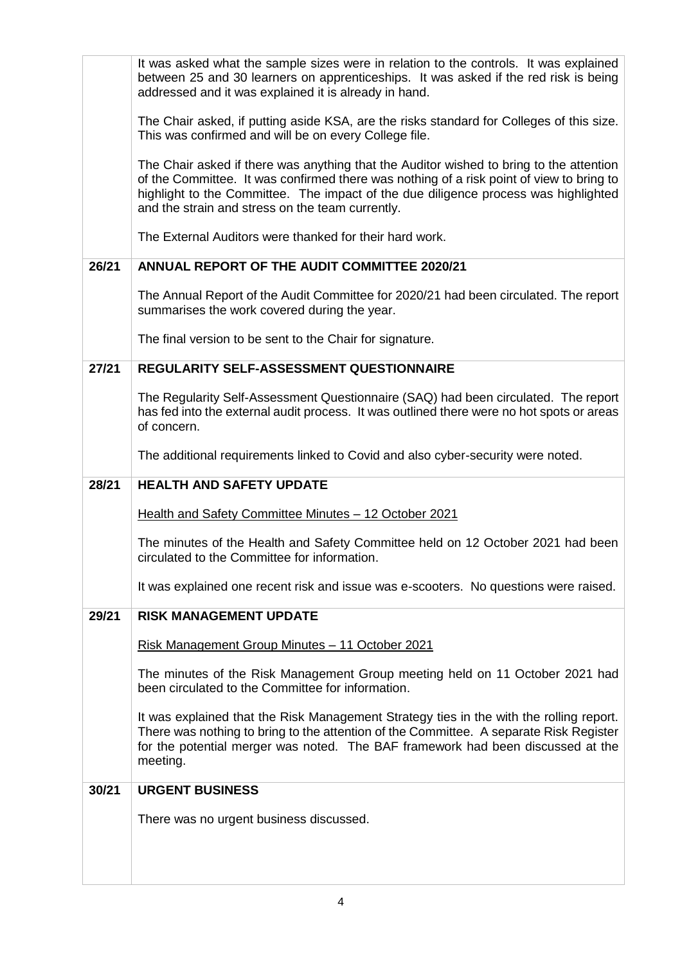|       | It was asked what the sample sizes were in relation to the controls. It was explained<br>between 25 and 30 learners on apprenticeships. It was asked if the red risk is being<br>addressed and it was explained it is already in hand.                                                                                         |
|-------|--------------------------------------------------------------------------------------------------------------------------------------------------------------------------------------------------------------------------------------------------------------------------------------------------------------------------------|
|       | The Chair asked, if putting aside KSA, are the risks standard for Colleges of this size.<br>This was confirmed and will be on every College file.                                                                                                                                                                              |
|       | The Chair asked if there was anything that the Auditor wished to bring to the attention<br>of the Committee. It was confirmed there was nothing of a risk point of view to bring to<br>highlight to the Committee. The impact of the due diligence process was highlighted<br>and the strain and stress on the team currently. |
|       | The External Auditors were thanked for their hard work.                                                                                                                                                                                                                                                                        |
| 26/21 | <b>ANNUAL REPORT OF THE AUDIT COMMITTEE 2020/21</b>                                                                                                                                                                                                                                                                            |
|       | The Annual Report of the Audit Committee for 2020/21 had been circulated. The report<br>summarises the work covered during the year.                                                                                                                                                                                           |
|       | The final version to be sent to the Chair for signature.                                                                                                                                                                                                                                                                       |
| 27/21 | REGULARITY SELF-ASSESSMENT QUESTIONNAIRE                                                                                                                                                                                                                                                                                       |
|       | The Regularity Self-Assessment Questionnaire (SAQ) had been circulated. The report<br>has fed into the external audit process. It was outlined there were no hot spots or areas<br>of concern.                                                                                                                                 |
|       | The additional requirements linked to Covid and also cyber-security were noted.                                                                                                                                                                                                                                                |
|       |                                                                                                                                                                                                                                                                                                                                |
| 28/21 | <b>HEALTH AND SAFETY UPDATE</b>                                                                                                                                                                                                                                                                                                |
|       | Health and Safety Committee Minutes - 12 October 2021                                                                                                                                                                                                                                                                          |
|       | The minutes of the Health and Safety Committee held on 12 October 2021 had been<br>circulated to the Committee for information.                                                                                                                                                                                                |
|       | It was explained one recent risk and issue was e-scooters. No questions were raised.                                                                                                                                                                                                                                           |
| 29/21 | <b>RISK MANAGEMENT UPDATE</b>                                                                                                                                                                                                                                                                                                  |
|       | <u> Risk Management Group Minutes – 11 October 2021</u>                                                                                                                                                                                                                                                                        |
|       | The minutes of the Risk Management Group meeting held on 11 October 2021 had<br>been circulated to the Committee for information.                                                                                                                                                                                              |
|       | It was explained that the Risk Management Strategy ties in the with the rolling report.<br>There was nothing to bring to the attention of the Committee. A separate Risk Register<br>for the potential merger was noted. The BAF framework had been discussed at the<br>meeting.                                               |
| 30/21 | <b>URGENT BUSINESS</b>                                                                                                                                                                                                                                                                                                         |
|       | There was no urgent business discussed.                                                                                                                                                                                                                                                                                        |
|       |                                                                                                                                                                                                                                                                                                                                |